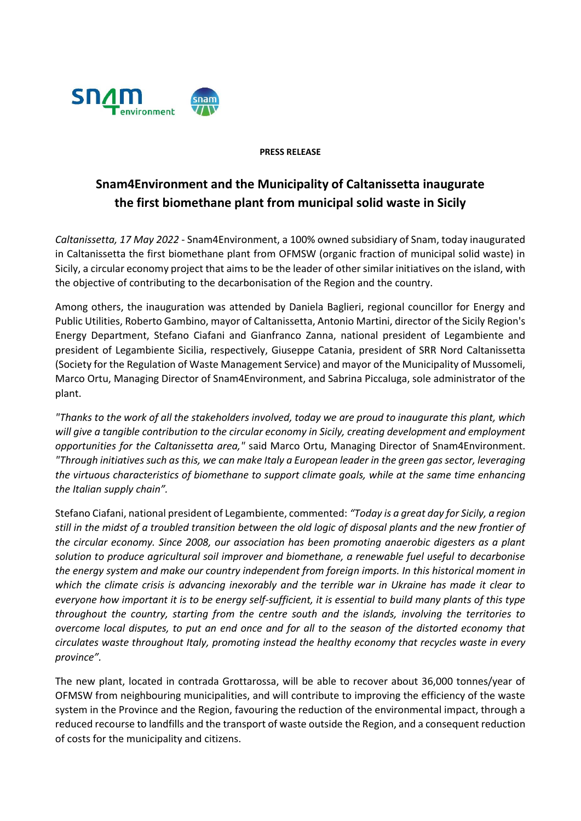

## **PRESS RELEASE**

## **Snam4Environment and the Municipality of Caltanissetta inaugurate the first biomethane plant from municipal solid waste in Sicily**

*Caltanissetta, 17 May 2022* - Snam4Environment, a 100% owned subsidiary of Snam, today inaugurated in Caltanissetta the first biomethane plant from OFMSW (organic fraction of municipal solid waste) in Sicily, a circular economy project that aims to be the leader of other similar initiatives on the island, with the objective of contributing to the decarbonisation of the Region and the country.

Among others, the inauguration was attended by Daniela Baglieri, regional councillor for Energy and Public Utilities, Roberto Gambino, mayor of Caltanissetta, Antonio Martini, director of the Sicily Region's Energy Department, Stefano Ciafani and Gianfranco Zanna, national president of Legambiente and president of Legambiente Sicilia, respectively, Giuseppe Catania, president of SRR Nord Caltanissetta (Society for the Regulation of Waste Management Service) and mayor of the Municipality of Mussomeli, Marco Ortu, Managing Director of Snam4Environment, and Sabrina Piccaluga, sole administrator of the plant.

*"Thanks to the work of all the stakeholders involved, today we are proud to inaugurate this plant, which will give a tangible contribution to the circular economy in Sicily, creating development and employment opportunities for the Caltanissetta area,"* said Marco Ortu, Managing Director of Snam4Environment. *"Through initiatives such as this, we can make Italy a European leader in the green gas sector, leveraging the virtuous characteristics of biomethane to support climate goals, while at the same time enhancing the Italian supply chain".*

Stefano Ciafani, national president of Legambiente, commented: *"Today is a great day for Sicily, a region still in the midst of a troubled transition between the old logic of disposal plants and the new frontier of the circular economy. Since 2008, our association has been promoting anaerobic digesters as a plant solution to produce agricultural soil improver and biomethane, a renewable fuel useful to decarbonise the energy system and make our country independent from foreign imports. In this historical moment in which the climate crisis is advancing inexorably and the terrible war in Ukraine has made it clear to everyone how important it is to be energy self-sufficient, it is essential to build many plants of this type throughout the country, starting from the centre south and the islands, involving the territories to overcome local disputes, to put an end once and for all to the season of the distorted economy that circulates waste throughout Italy, promoting instead the healthy economy that recycles waste in every province".*

The new plant, located in contrada Grottarossa, will be able to recover about 36,000 tonnes/year of OFMSW from neighbouring municipalities, and will contribute to improving the efficiency of the waste system in the Province and the Region, favouring the reduction of the environmental impact, through a reduced recourse to landfills and the transport of waste outside the Region, and a consequent reduction of costs for the municipality and citizens.